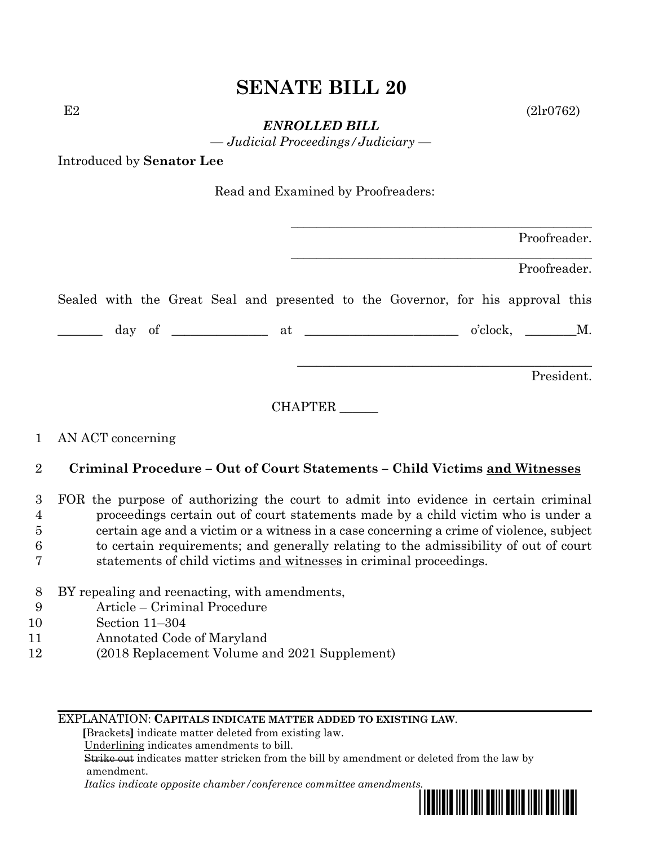# **SENATE BILL 20**

 $E2$  (2lr0762)

*ENROLLED BILL*

*— Judicial Proceedings/Judiciary —*

Introduced by **Senator Lee**

| Read and Examined by Proofreaders: |  |  |
|------------------------------------|--|--|
|------------------------------------|--|--|

|  |  |  |  |                                                                                 | Proofreader. |  |
|--|--|--|--|---------------------------------------------------------------------------------|--------------|--|
|  |  |  |  |                                                                                 | Proofreader. |  |
|  |  |  |  | Sealed with the Great Seal and presented to the Governor, for his approval this |              |  |
|  |  |  |  |                                                                                 | o'clock, M.  |  |
|  |  |  |  |                                                                                 | President.   |  |

CHAPTER \_\_\_\_\_\_

### 1 AN ACT concerning

## 2 **Criminal Procedure – Out of Court Statements – Child Victims and Witnesses**

 FOR the purpose of authorizing the court to admit into evidence in certain criminal proceedings certain out of court statements made by a child victim who is under a certain age and a victim or a witness in a case concerning a crime of violence, subject to certain requirements; and generally relating to the admissibility of out of court statements of child victims and witnesses in criminal proceedings.

- 8 BY repealing and reenacting, with amendments,
- 9 Article Criminal Procedure
- 10 Section 11–304
- 11 Annotated Code of Maryland
- 12 (2018 Replacement Volume and 2021 Supplement)

#### EXPLANATION: **CAPITALS INDICATE MATTER ADDED TO EXISTING LAW**.

 **[**Brackets**]** indicate matter deleted from existing law.

Underlining indicates amendments to bill.

 Strike out indicates matter stricken from the bill by amendment or deleted from the law by amendment.

 *Italics indicate opposite chamber/conference committee amendments.*

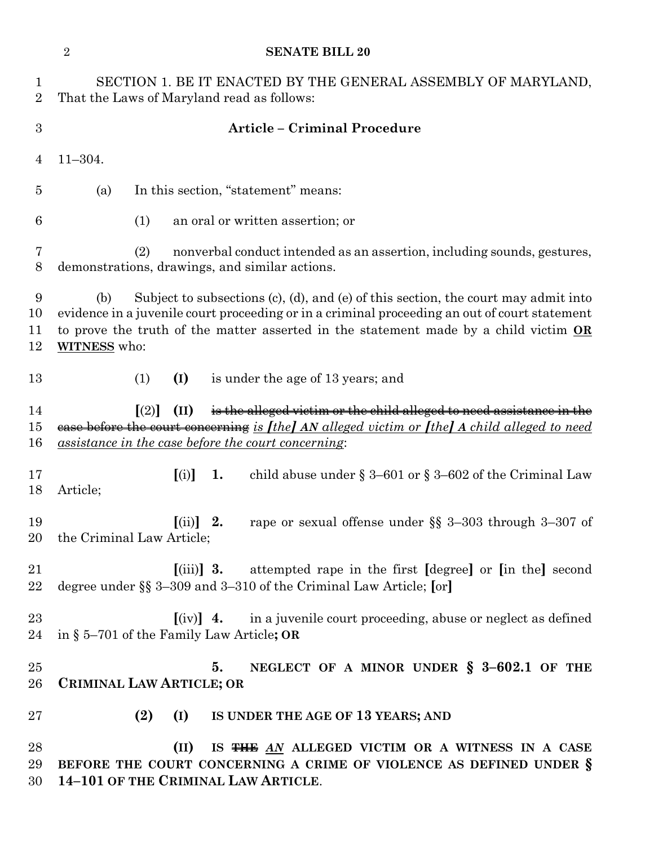|                     | $\sqrt{2}$<br><b>SENATE BILL 20</b>                                                                                                                                                                                                                                                                       |  |
|---------------------|-----------------------------------------------------------------------------------------------------------------------------------------------------------------------------------------------------------------------------------------------------------------------------------------------------------|--|
| 1<br>$\overline{2}$ | SECTION 1. BE IT ENACTED BY THE GENERAL ASSEMBLY OF MARYLAND,<br>That the Laws of Maryland read as follows:                                                                                                                                                                                               |  |
| 3                   | <b>Article - Criminal Procedure</b>                                                                                                                                                                                                                                                                       |  |
| 4                   | $11 - 304.$                                                                                                                                                                                                                                                                                               |  |
| 5                   | In this section, "statement" means:<br>(a)                                                                                                                                                                                                                                                                |  |
| 6                   | (1)<br>an oral or written assertion; or                                                                                                                                                                                                                                                                   |  |
| 7<br>8              | nonverbal conduct intended as an assertion, including sounds, gestures,<br>(2)<br>demonstrations, drawings, and similar actions.                                                                                                                                                                          |  |
| 9<br>10<br>11<br>12 | Subject to subsections (c), (d), and (e) of this section, the court may admit into<br>(b)<br>evidence in a juvenile court proceeding or in a criminal proceeding an out of court statement<br>to prove the truth of the matter asserted in the statement made by a child victim OR<br><b>WITNESS</b> who: |  |
| 13                  | (I)<br>is under the age of 13 years; and<br>(1)                                                                                                                                                                                                                                                           |  |
| 14<br>15<br>16      | is the alleged victim or the child alleged to need assistance in the<br>(II)<br>$\lceil (2) \rceil$<br>ease before the court concerning is <i>[the] AN alleged victim or [the] A child alleged to need</i><br><i><u>assistance in the case before the court concerning:</u></i>                           |  |
| 17<br>18            | child abuse under $\S 3-601$ or $\S 3-602$ of the Criminal Law<br>[(i)]<br>1.<br>Article;                                                                                                                                                                                                                 |  |
| 19                  | rape or sexual offense under §§ 3-303 through 3-307 of<br>$[$ (ii)] 2.<br>20 the Criminal Law Article;                                                                                                                                                                                                    |  |
| 21<br>22            | $\lceil$ (iii) 3. attempted rape in the first $\lceil$ degree $\rceil$ or $\lceil$ in the $\rceil$ second<br>degree under §§ 3–309 and 3–310 of the Criminal Law Article; [or]                                                                                                                            |  |
| 23<br>24            | $\left[\text{(iv)}\right]$ 4. in a juvenile court proceeding, abuse or neglect as defined<br>in § 5–701 of the Family Law Article; OR                                                                                                                                                                     |  |
| $25\,$<br>26        | 5.<br>NEGLECT OF A MINOR UNDER $\S$ 3-602.1 OF THE<br>CRIMINAL LAW ARTICLE; OR                                                                                                                                                                                                                            |  |
| $27\,$              | (2)<br>(I)<br>IS UNDER THE AGE OF 13 YEARS; AND                                                                                                                                                                                                                                                           |  |
| 28<br>29<br>30      | (II)<br>IS THE AN ALLEGED VICTIM OR A WITNESS IN A CASE<br>BEFORE THE COURT CONCERNING A CRIME OF VIOLENCE AS DEFINED UNDER §<br>14-101 OF THE CRIMINAL LAW ARTICLE.                                                                                                                                      |  |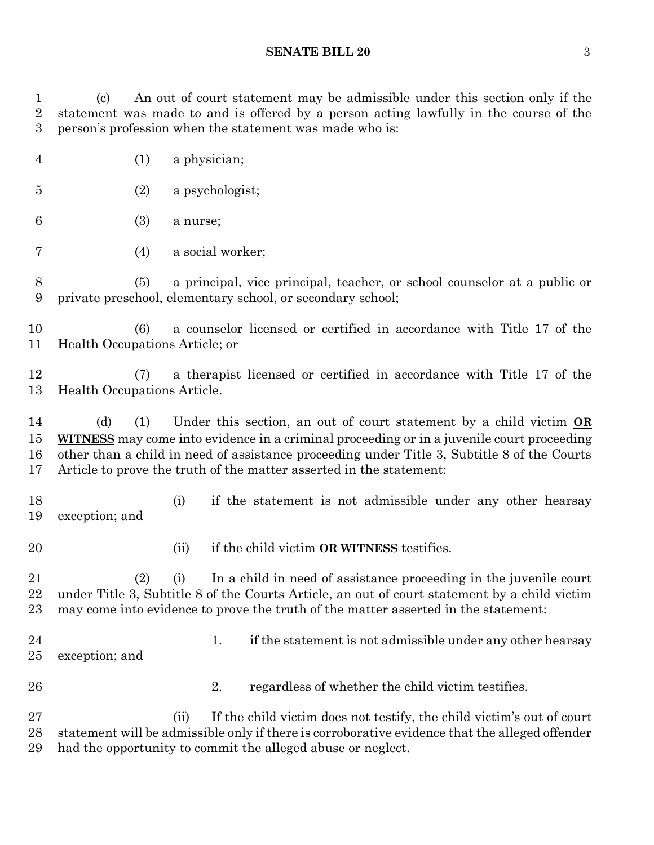#### **SENATE BILL 20** 3

 (c) An out of court statement may be admissible under this section only if the statement was made to and is offered by a person acting lawfully in the course of the person's profession when the statement was made who is:

- (1) a physician;
- (2) a psychologist;
- (3) a nurse;
- (4) a social worker;

 (5) a principal, vice principal, teacher, or school counselor at a public or private preschool, elementary school, or secondary school;

 (6) a counselor licensed or certified in accordance with Title 17 of the Health Occupations Article; or

 (7) a therapist licensed or certified in accordance with Title 17 of the Health Occupations Article.

 (d) (1) Under this section, an out of court statement by a child victim **OR WITNESS** may come into evidence in a criminal proceeding or in a juvenile court proceeding other than a child in need of assistance proceeding under Title 3, Subtitle 8 of the Courts Article to prove the truth of the matter asserted in the statement:

 (i) if the statement is not admissible under any other hearsay exception; and

- 
- (ii) if the child victim **OR WITNESS** testifies.

 (2) (i) In a child in need of assistance proceeding in the juvenile court under Title 3, Subtitle 8 of the Courts Article, an out of court statement by a child victim may come into evidence to prove the truth of the matter asserted in the statement:

- 
- 24 1. if the statement is not admissible under any other hearsay

exception; and

- 
- 26 2. regardless of whether the child victim testifies.

 (ii) If the child victim does not testify, the child victim's out of court statement will be admissible only if there is corroborative evidence that the alleged offender had the opportunity to commit the alleged abuse or neglect.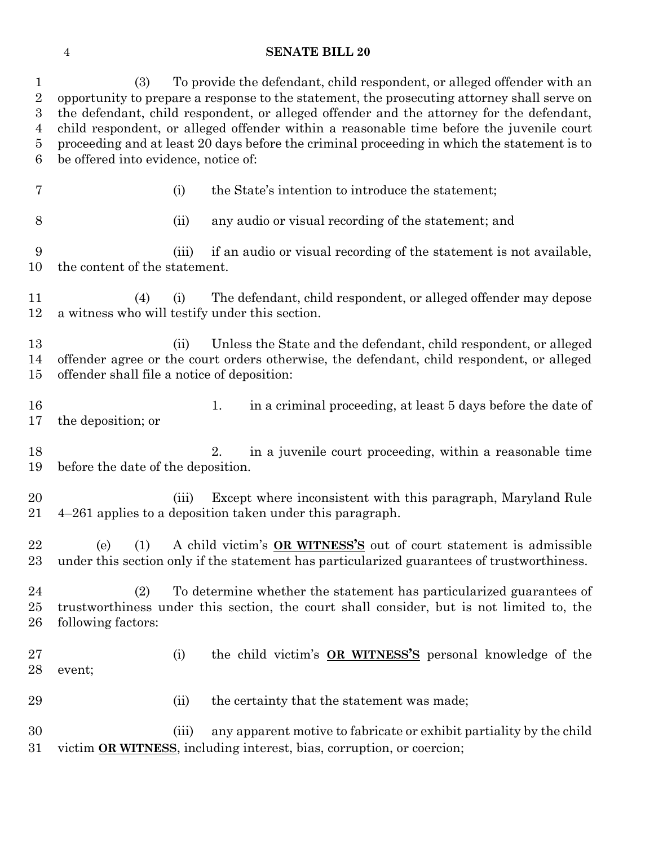### **SENATE BILL 20**

| $\mathbf{1}$<br>$\overline{2}$<br>$\boldsymbol{3}$<br>$\overline{4}$<br>5<br>6 | (3)<br>be offered into evidence, notice of: |       | To provide the defendant, child respondent, or alleged offender with an<br>opportunity to prepare a response to the statement, the prosecuting attorney shall serve on<br>the defendant, child respondent, or alleged offender and the attorney for the defendant,<br>child respondent, or alleged offender within a reasonable time before the juvenile court<br>proceeding and at least 20 days before the criminal proceeding in which the statement is to |
|--------------------------------------------------------------------------------|---------------------------------------------|-------|---------------------------------------------------------------------------------------------------------------------------------------------------------------------------------------------------------------------------------------------------------------------------------------------------------------------------------------------------------------------------------------------------------------------------------------------------------------|
| 7                                                                              |                                             | (i)   | the State's intention to introduce the statement;                                                                                                                                                                                                                                                                                                                                                                                                             |
| 8                                                                              |                                             | (ii)  | any audio or visual recording of the statement; and                                                                                                                                                                                                                                                                                                                                                                                                           |
| 9<br>10                                                                        | the content of the statement.               | (iii) | if an audio or visual recording of the statement is not available,                                                                                                                                                                                                                                                                                                                                                                                            |
| 11<br>12                                                                       | (4)                                         | (i)   | The defendant, child respondent, or alleged offender may depose<br>a witness who will testify under this section.                                                                                                                                                                                                                                                                                                                                             |
| 13<br>14<br>15                                                                 | offender shall file a notice of deposition: | (ii)  | Unless the State and the defendant, child respondent, or alleged<br>offender agree or the court orders otherwise, the defendant, child respondent, or alleged                                                                                                                                                                                                                                                                                                 |
| 16<br>17                                                                       | the deposition; or                          |       | in a criminal proceeding, at least 5 days before the date of<br>1.                                                                                                                                                                                                                                                                                                                                                                                            |
| 18<br>19                                                                       | before the date of the deposition.          |       | 2.<br>in a juvenile court proceeding, within a reasonable time                                                                                                                                                                                                                                                                                                                                                                                                |
| 20<br>21                                                                       |                                             | (iii) | Except where inconsistent with this paragraph, Maryland Rule<br>4-261 applies to a deposition taken under this paragraph.                                                                                                                                                                                                                                                                                                                                     |
| 22<br>23                                                                       | (e)<br>(1)                                  |       | A child victim's OR WITNESS'S out of court statement is admissible<br>under this section only if the statement has particularized guarantees of trustworthiness.                                                                                                                                                                                                                                                                                              |
| 24<br>25<br>$26\,$                                                             | (2)<br>following factors:                   |       | To determine whether the statement has particularized guarantees of<br>trustworthiness under this section, the court shall consider, but is not limited to, the                                                                                                                                                                                                                                                                                               |
| $27\,$<br>28                                                                   | event;                                      | (i)   | the child victim's OR WITNESS'S personal knowledge of the                                                                                                                                                                                                                                                                                                                                                                                                     |
| 29                                                                             |                                             | (ii)  | the certainty that the statement was made;                                                                                                                                                                                                                                                                                                                                                                                                                    |
| 30<br>$31\,$                                                                   |                                             | (iii) | any apparent motive to fabricate or exhibit partiality by the child<br>victim OR WITNESS, including interest, bias, corruption, or coercion;                                                                                                                                                                                                                                                                                                                  |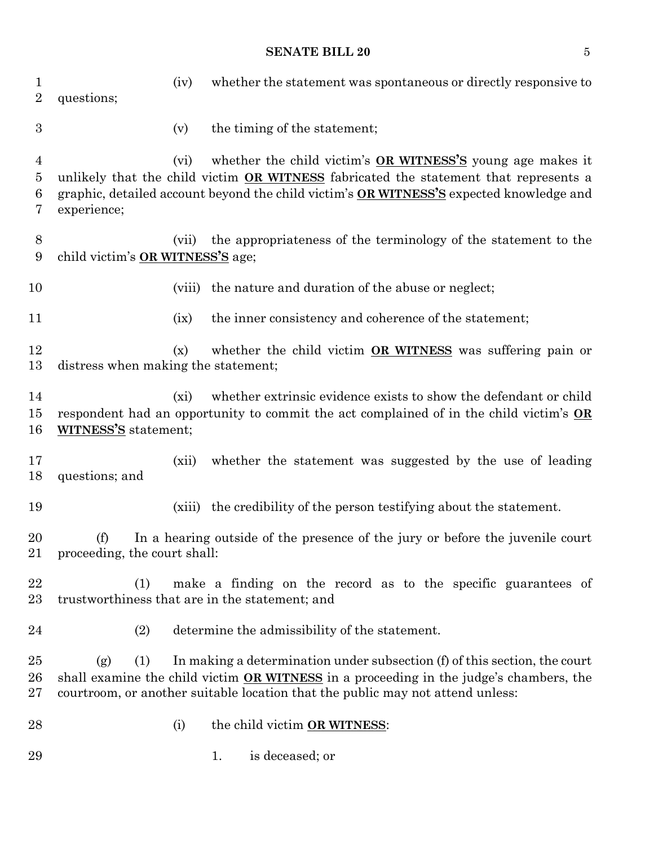### **SENATE BILL 20** 5

| 1<br>$\overline{2}$           | questions;                          | (iv)    | whether the statement was spontaneous or directly responsive to                                                                                                                                                                                              |
|-------------------------------|-------------------------------------|---------|--------------------------------------------------------------------------------------------------------------------------------------------------------------------------------------------------------------------------------------------------------------|
| $\boldsymbol{3}$              |                                     | (v)     | the timing of the statement;                                                                                                                                                                                                                                 |
| 4<br>$\overline{5}$<br>6<br>7 | experience;                         | (vi)    | whether the child victim's <b>OR WITNESS'S</b> young age makes it<br>unlikely that the child victim OR WITNESS fabricated the statement that represents a<br>graphic, detailed account beyond the child victim's OR WITNESS'S expected knowledge and         |
| 8<br>9                        | child victim's OR WITNESS'S age;    | (vii)   | the appropriateness of the terminology of the statement to the                                                                                                                                                                                               |
| 10                            |                                     | (viii)  | the nature and duration of the abuse or neglect;                                                                                                                                                                                                             |
| 11                            |                                     | (ix)    | the inner consistency and coherence of the statement;                                                                                                                                                                                                        |
| 12<br>13                      | distress when making the statement; | (x)     | whether the child victim OR WITNESS was suffering pain or                                                                                                                                                                                                    |
| 14<br>15<br>16                | WITNESS'S statement;                | $(x_i)$ | whether extrinsic evidence exists to show the defendant or child<br>respondent had an opportunity to commit the act complained of in the child victim's OR                                                                                                   |
| 17<br>18                      | questions; and                      | (xii)   | whether the statement was suggested by the use of leading                                                                                                                                                                                                    |
| 19                            |                                     | (xiii)  | the credibility of the person testifying about the statement.                                                                                                                                                                                                |
| 20<br>21                      | (f)<br>proceeding, the court shall: |         | In a hearing outside of the presence of the jury or before the juvenile court                                                                                                                                                                                |
| 22<br>23                      | (1)                                 |         | make a finding on the record as to the specific guarantees of<br>trustworthiness that are in the statement; and                                                                                                                                              |
| 24                            | (2)                                 |         | determine the admissibility of the statement.                                                                                                                                                                                                                |
| 25<br>26<br>$27\,$            | (1)<br>(g)                          |         | In making a determination under subsection (f) of this section, the court<br>shall examine the child victim <b>OR WITNESS</b> in a proceeding in the judge's chambers, the<br>courtroom, or another suitable location that the public may not attend unless: |
| 28                            |                                     | (i)     | the child victim OR WITNESS:                                                                                                                                                                                                                                 |
| 29                            |                                     |         | is deceased; or<br>1.                                                                                                                                                                                                                                        |